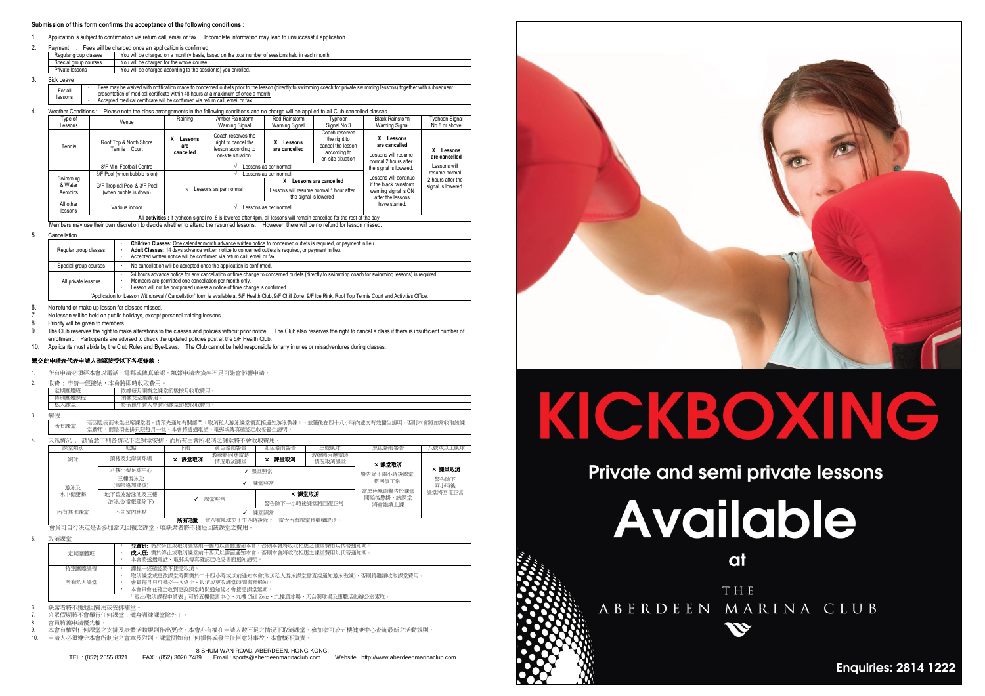#### **Submission of this form confirms the acceptance of the following conditions :**

- 1. Application is subject to confirmation via return call, email or fax. Incomplete information may lead to unsuccessful application.
- 2. Payment : Fees will be charged once an application is confirmed.

| Regular group classes | You will be charged on a monthly basis, based on the total number of sessions held in each month. |
|-----------------------|---------------------------------------------------------------------------------------------------|
| Special group courses | You will be charged for the whole course.                                                         |
| Private lessons       | You will be charged according to the session(s) you enrolled.                                     |
| Sick Leave            |                                                                                                   |

- $3.$ 
	- For all lessons Fees may be waived with notification made to concerned outlets prior to the lesson (directly to swimming coach for private swimming lessons) together with subsequent presentation of medical certificate within 48 hours at a maximum of once a month. Accepted medical certificate will be confirmed via return call, email or fax.
- 

|  | Weather Conditions:             | Please note the class arrangements in the following conditions and no charge will be applied to all Club cancelled classes. |                                  |                                                                                                                    |                                                                          |                                                                                          |                                                                         |                                         |
|--|---------------------------------|-----------------------------------------------------------------------------------------------------------------------------|----------------------------------|--------------------------------------------------------------------------------------------------------------------|--------------------------------------------------------------------------|------------------------------------------------------------------------------------------|-------------------------------------------------------------------------|-----------------------------------------|
|  | Type of<br>Lessons              | Venue                                                                                                                       | Raining                          | Amber Rainstorm<br><b>Warning Signal</b>                                                                           | Red Rainstorm<br>Warning Signal                                          | Tvphoon<br>Signal No.3                                                                   | <b>Black Rainstorm</b><br>Warning Signal                                | Typhoon Signal<br>No.8 or above         |
|  | Tennis                          | Roof Top & North Shore<br>Tennis Court                                                                                      | x<br>Lessons<br>are<br>cancelled | Coach reserves the<br>right to cancel the<br>lesson according to<br>on-site situation.                             | Lessons<br>are cancelled                                                 | Coach reserves<br>the right to<br>cancel the lesson<br>according to<br>on-site situation | Lessons<br>are cancelled<br>Lessons will resume<br>normal 2 hours after | X Lessons<br>are cancelled              |
|  |                                 | 8/F Mini Football Centre                                                                                                    |                                  | Lessons as per normal                                                                                              |                                                                          |                                                                                          |                                                                         | Lessons will                            |
|  | Swimming<br>& Water<br>Aerobics | 3/F Pool (when bubble is on)                                                                                                |                                  |                                                                                                                    | the signal is lowered.<br>Lessons as per normal<br>Lessons will continue |                                                                                          |                                                                         | resume normal                           |
|  |                                 | G/F Tropical Pool & 3/F Pool<br>(when bubble is down)                                                                       |                                  | Lessons are cancelled<br>Lessons as per normal<br>Lessons will resume normal 1 hour after<br>the signal is lowered |                                                                          |                                                                                          |                                                                         | 2 hours after the<br>signal is lowered. |
|  | All other<br>lessons            | Various indoor                                                                                                              | Lessons as per normal            |                                                                                                                    |                                                                          |                                                                                          | have started.                                                           |                                         |
|  |                                 | All activities : If typhoon signal no, 8 is lowered after 4pm, all lessons will remain cancelled for the rest of the day.   |                                  |                                                                                                                    |                                                                          |                                                                                          |                                                                         |                                         |

Members may use their own discretion to decide whether to attend the resumed lessons. However, there will be no refund for lesson missed.

5. Cancellation

| Regular group classes | Children Classes: One calendar month advance written notice to concerned outlets is required, or payment in lieu.<br>Adult Classes: 14 days advance written notice to concerned outlets is required, or payment in lieu.<br>Accepted written notice will be confirmed via return call, email or fax. |
|-----------------------|------------------------------------------------------------------------------------------------------------------------------------------------------------------------------------------------------------------------------------------------------------------------------------------------------|
| Special group courses | No cancellation will be accepted once the application is confirmed.                                                                                                                                                                                                                                  |
| All private lessons   | 24 hours advance notice for any cancellation or time change to concerned outlets (directly to swimming coach for swimming lessons) is required.<br>Members are permitted one cancellation per month only.<br>Lesson will not be postponed unless a notice of time change is confirmed.               |
|                       | 'Application for Lesson Withdrawal / Cancellation' form is available at 5/F Health Club, 9/F Chill Zone, 9/F Ice Rink, Roof Top Tennis Court and Activities Office.                                                                                                                                  |

6. No refund or make up lesson for classes missed.

7. No lesson will be held on public holidays, except personal training lessons.

8. Priority will be given to members.

- 9. The Club reserves the right to make alterations to the classes and policies without prior notice. The Club also reserves the right to cancel a class if there is insufficient number of enrollment. Participants are advised to check the updated policies post at the 5/F Health Club.
- 10. Applicants must abide by the Club Rules and Bye-Laws. The Club cannot be held responsible for any injuries or misadventures during classes.

### 遞交此申請表代表申請人確認接受以下各項條款 :

- 所有申請必須經本會以電話、電郵或傳真確認。填報申請表資料不足可能會影響申請
- 2. 收費 : 申請一經接納,本會將即時收取費用。

| 信有<br><b>College College College College</b><br>- -<br>2013<br>A-PFT<br><br>ndran<br>m | 91 Ист. 17 | <b>MAY FT</b><br>依據<br>MY 978<br>∴HV'<br>. .<br><b>H</b><br>u |
|----------------------------------------------------------------------------------------|------------|---------------------------------------------------------------|
|                                                                                        |            | AACLESS COM                                                   |
|                                                                                        | 15.5       | 的收取费用<br>申請的課<br>(源甲語)<br>一時依。<br>3. DE 17                    |

3. 病假

所有課堂 ——若因患病而未能出席課堂者,請預先通知有關部門﹝取消私人游泳課堂需直接通知游泳教練﹞,並隨後在四十八小時內遞交有效醫生證明,否則本會將如常收取該課<br>所有課堂 ——堂費用,而是項安排只限每月一堂。本會將透過電話、電郵或傳真確認已收妥醫生證明。

4. 天氣情況 : 請留意下列各情況下之課堂安排,而所有由會所取消之課堂將不會收取費用。

| 課堂類別   | 地點                       | 下雨     | 黃色暴雨警告            | 紅色暴雨警告                    | 三號風球              | 黑色暴雨警告                            | \號或以上風球                |
|--------|--------------------------|--------|-------------------|---------------------------|-------------------|-----------------------------------|------------------------|
| 網球     | 頂樓及北岸網球場                 | × 課堂取消 | 教練將因應當時<br>情況取消課堂 | × 課堂取消                    | 教練將因應當時<br>情況取消課堂 | × 課堂取消                            |                        |
|        | (樓小型足球中心                 |        | 課堂照常              |                           |                   | 警告除下兩小時後課堂<br>將回復正常               | × 課堂取消<br>警告除下<br>兩小時後 |
| 游泳及    | 三樓游泳池<br>(當帳蓬加建後)        |        | 課堂照常              |                           |                   |                                   |                        |
| 水中健康舞  | 地下碧波游泳池及三樓<br>游泳池(當帳蓬除下) |        | 課堂照常              | × 餵堂取消<br>警告除下一小時後課堂將回復正常 |                   | 常黑色暴雨警告於課堂<br>開始後懸掛,該課堂<br>將會繼續上課 | 課堂將回復正常                |
| 所有其他課堂 | 不同室内地點                   |        | 課堂昭堂              |                           |                   |                                   |                        |
|        |                          |        |                   |                           |                   |                                   |                        |

會員可自行決定是否參加當天回復之課堂,唯缺席者將不獲退回該課堂之費用。

5. 取消課堂

| 定期團體班  | <b>兒童班:</b> 需於終止或取消課堂前一個月以書面通知本會。否則本會將收取相應之課堂費用以代替通知期。<br>成人班: 需於終止或取消課堂前十四天以書面通知本會。否則本會將收取相應之課堂費用以代替通知期。<br>本會將透過電話、電郵或傳真確認已收妥書面通知證明。 |
|--------|----------------------------------------------------------------------------------------------------------------------------------------|
| 特別團體課程 | 課程一經確認將不接受取消。                                                                                                                          |
| 所有私人課堂 | 取消課堂或更改課堂時間需於二十四小時或以前通知本會(取消私人游泳課堂需直接通知游泳教練),否則將繼續收取課堂費用。<br>會員每月只可褫交一次終止、取消或更改課堂時間書面通知。<br>本會只會在確定收到更改課堂時間通知後才會接受課堂延期。                |
|        | 「退出/取消課程申請表」可於五樓健康中心、九樓 Chill Zone、九樓溜冰場、天台網球場及康體活動辦公室索取。                                                                              |

- 6. 缺席者將不獲退回費用或安排補堂。
- 7. 公眾假期將不會舉行任何課堂﹝健身訓練課堂除外﹞。
- 8. 會員將獲申請優先權。

9. 本會有權對任何課堂之安排及康體活動規則作出更改。本會亦有權在申請人數不足之情況下取消課堂。參加者可於五樓健康中心查詢最新之活動規則。<br>10. 申請人必須遵守本會所制定之會音及附則。經堂間如有任何捐傷或發生任何音外事故,本會概不自責。 10. 申請人必須遵守本會所制定之會章及附則。課堂間如有任何損傷或發生任何意外事故,本會概不負責。

#### 8 SHUM WAN ROAD, ABERDEEN, HONG KONG.

TEL : (852) 2555 8321 FAX : (852) 3020 7489 Email : sports@aberdeenmarinaclub.com Website : http://www.aberdeenmarinaclub.com



# KICKBOXING

# Private and semi private lessons

**Available** 

at

THE ABERDEEN MARINA CLUB